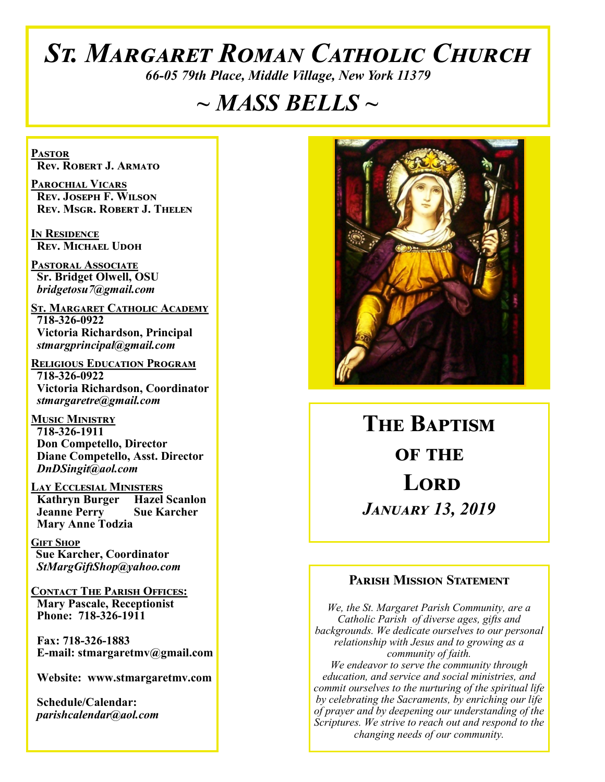# *St. Margaret Roman Catholic Church*

*66-05 79th Place, Middle Village, New York 11379*

# *~ MASS BELLS ~*

**Pastor Rev. Robert J. Armato**

**Parochial Vicars Rev. Joseph F. Wilson Rev. Msgr. Robert J. Thelen**

**In Residence Rev. Michael Udoh**

**Pastoral Associate Sr. Bridget Olwell, OSU**  *bridgetosu7@gmail.com*

**St. Margaret Catholic Academy 718-326-0922 Victoria Richardson, Principal**  *stmargprincipal@gmail.com*

**Religious Education Program 718-326-0922 Victoria Richardson, Coordinator** *stmargaretre@gmail.com*

**Music Ministry 718-326-1911 Don Competello, Director Diane Competello, Asst. Director** *DnDSingit@aol.com*

**Lay Ecclesial Ministers Kathryn Burger Hazel Scanlon**<br>**Jeanne Perry Sue Karcher Jeanne Perry Mary Anne Todzia**

**Gift Shop Sue Karcher, Coordinator** *StMargGiftShop@yahoo.com*

**Contact The Parish Offices: Mary Pascale, Receptionist Phone: 718-326-1911** 

 **Fax: 718-326-1883 E-mail: stmargaretmv@gmail.com**

 **Website: www.stmargaretmv.com**

 **Schedule/Calendar:** *parishcalendar@aol.com* 



**The Baptism OF THE Lord** *January 13, 2019* 

#### **Parish Mission Statement**

*We, the St. Margaret Parish Community, are a Catholic Parish of diverse ages, gifts and backgrounds. We dedicate ourselves to our personal relationship with Jesus and to growing as a community of faith. We endeavor to serve the community through education, and service and social ministries, and commit ourselves to the nurturing of the spiritual life by celebrating the Sacraments, by enriching our life of prayer and by deepening our understanding of the Scriptures. We strive to reach out and respond to the changing needs of our community.*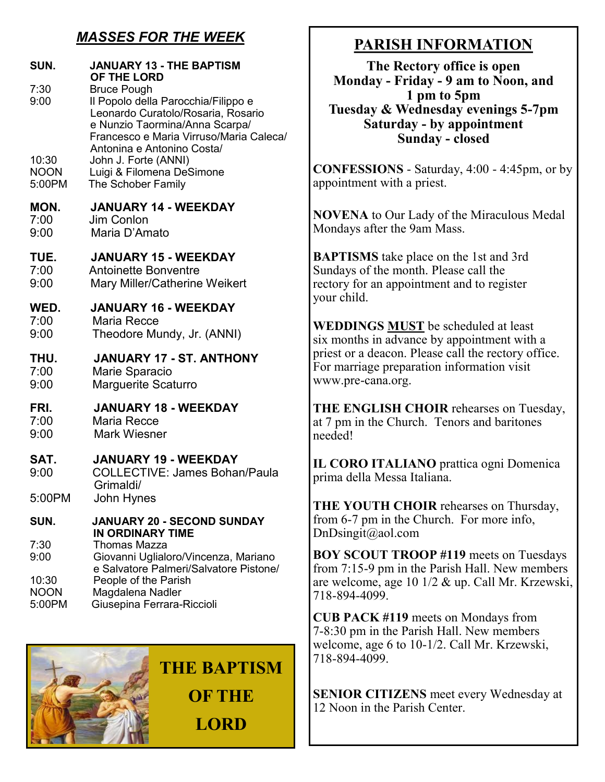### *MASSES FOR THE WEEK*

| SUN.                                 | <b>JANUARY 13 - THE BAPTISM</b><br>OF THE LORD                                                                                                                                                             | The Rectory of<br><b>Monday - Friday - 9</b>                                                                                                                                                                                                      |
|--------------------------------------|------------------------------------------------------------------------------------------------------------------------------------------------------------------------------------------------------------|---------------------------------------------------------------------------------------------------------------------------------------------------------------------------------------------------------------------------------------------------|
| 7:30<br>9:00                         | <b>Bruce Pough</b><br>Il Popolo della Parocchia/Filippo e<br>Leonardo Curatolo/Rosaria, Rosario<br>e Nunzio Taormina/Anna Scarpa/<br>Francesco e Maria Virruso/Maria Caleca/<br>Antonina e Antonino Costa/ | 1 pm to<br><b>Tuesday &amp; Wednesd:</b><br>Saturday - by a<br>Sunday -                                                                                                                                                                           |
| 10:30<br><b>NOON</b><br>5:00PM       | John J. Forte (ANNI)<br>Luigi & Filomena DeSimone<br>The Schober Family                                                                                                                                    | <b>CONFESSIONS - Saturda</b><br>appointment with a priest.                                                                                                                                                                                        |
| MON.<br>7:00<br>9:00                 | <b>JANUARY 14 - WEEKDAY</b><br>Jim Conlon<br>Maria D'Amato                                                                                                                                                 | <b>NOVENA</b> to Our Lady of<br>Mondays after the 9am Ma                                                                                                                                                                                          |
| TUE.<br>7:00<br>9:00                 | <b>JANUARY 15 - WEEKDAY</b><br><b>Antoinette Bonventre</b><br>Mary Miller/Catherine Weikert                                                                                                                | <b>BAPTISMS</b> take place on<br>Sundays of the month. Plea<br>rectory for an appointment<br>your child.<br>WEDDINGS MUST be so<br>six months in advance by a<br>priest or a deacon. Please c<br>For marriage preparation in<br>www.pre-cana.org. |
| WED.<br>7:00<br>9:00                 | <b>JANUARY 16 - WEEKDAY</b><br><b>Maria Recce</b><br>Theodore Mundy, Jr. (ANNI)                                                                                                                            |                                                                                                                                                                                                                                                   |
| THU.<br>7:00<br>9:00                 | JANUARY 17 - ST. ANTHONY<br>Marie Sparacio<br><b>Marguerite Scaturro</b>                                                                                                                                   |                                                                                                                                                                                                                                                   |
| FRI.<br>7:00<br>9:00                 | <b>JANUARY 18 - WEEKDAY</b><br>Maria Recce<br><b>Mark Wiesner</b>                                                                                                                                          | <b>THE ENGLISH CHOIR</b><br>at 7 pm in the Church. Ter<br>needed!                                                                                                                                                                                 |
| SAT.<br>9:00                         | <b>JANUARY 19 - WEEKDAY</b><br><b>COLLECTIVE: James Bohan/Paula</b><br>Grimaldi/                                                                                                                           | IL CORO ITALIANO pr<br>prima della Messa Italiana.                                                                                                                                                                                                |
| 5:00PM<br>SUN.                       | John Hynes<br><b>JANUARY 20 - SECOND SUNDAY</b><br><b>IN ORDINARY TIME</b>                                                                                                                                 | <b>THE YOUTH CHOIR re.</b><br>from 6-7 pm in the Church<br>DnDisingit@aol.com                                                                                                                                                                     |
| 7:30<br>9:00<br>10:30<br><b>NOON</b> | <b>Thomas Mazza</b><br>Giovanni Uglialoro/Vincenza, Mariano<br>e Salvatore Palmeri/Salvatore Pistone/<br>People of the Parish<br>Magdalena Nadler                                                          | <b>BOY SCOUT TROOP #1</b><br>from $7:15-9$ pm in the Pari<br>are welcome, age 10 1/2 $\&$<br>718-894-4099.                                                                                                                                        |
| 5:00PM                               | Giusepina Ferrara-Riccioli                                                                                                                                                                                 | <b>CUB PACK #119 meets o</b>                                                                                                                                                                                                                      |



## **PARISH INFORMATION**

**ffice is open P** am to Noon, and **1 pm to 5pm**  $\overline{ay}$  evenings 5-7pm **Saturday - by appointment Sunday - closed**

ay, 4:00 - 4:45pm, or by

the Miraculous Medal Mondays after the 9am Mass.

the 1st and 3rd ase call the and to register

cheduled at least appointment with a call the rectory office. nformation visit

rehearses on Tuesday, nors and baritones

**IL CORO EXECUTE:** Prattica ogni Domenica prima della Messa Italiana.

hearses on Thursday,  $\blacksquare$ . For more info,

**19** meets on Tuesdays sh Hall. New members up. Call Mr. Krzewski,

**n** Mondays from 7-8:30 pm in the Parish Hall. New members welcome, age 6 to 10-1/2. Call Mr. Krzewski, 718-894-4099.

**SENIOR CITIZENS** meet every Wednesday at 12 Noon in the Parish Center.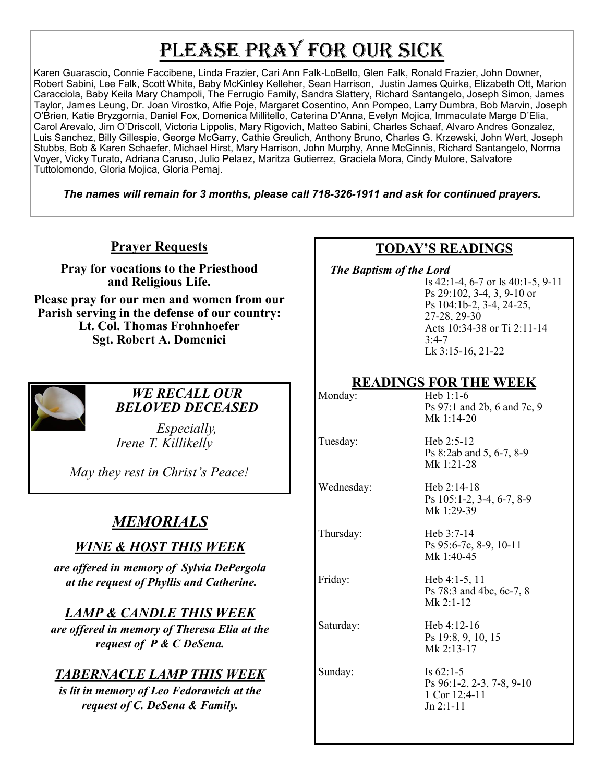# PLEASE PRAY FOR OUR SICK

Karen Guarascio, Connie Faccibene, Linda Frazier, Cari Ann Falk-LoBello, Glen Falk, Ronald Frazier, John Downer, Robert Sabini, Lee Falk, Scott White, Baby McKinley Kelleher, Sean Harrison, Justin James Quirke, Elizabeth Ott, Marion Caracciola, Baby Keila Mary Champoli, The Ferrugio Family, Sandra Slattery, Richard Santangelo, Joseph Simon, James Taylor, James Leung, Dr. Joan Virostko, Alfie Poje, Margaret Cosentino, Ann Pompeo, Larry Dumbra, Bob Marvin, Joseph O'Brien, Katie Bryzgornia, Daniel Fox, Domenica Millitello, Caterina D'Anna, Evelyn Mojica, Immaculate Marge D'Elia, Carol Arevalo, Jim O'Driscoll, Victoria Lippolis, Mary Rigovich, Matteo Sabini, Charles Schaaf, Alvaro Andres Gonzalez, Luis Sanchez, Billy Gillespie, George McGarry, Cathie Greulich, Anthony Bruno, Charles G. Krzewski, John Wert, Joseph Stubbs, Bob & Karen Schaefer, Michael Hirst, Mary Harrison, John Murphy, Anne McGinnis, Richard Santangelo, Norma Voyer, Vicky Turato, Adriana Caruso, Julio Pelaez, Maritza Gutierrez, Graciela Mora, Cindy Mulore, Salvatore Tuttolomondo, Gloria Mojica, Gloria Pemaj.

*The names will remain for 3 months, please call 718-326-1911 and ask for continued prayers.*

**Prayer Requests**

**Pray for vocations to the Priesthood and Religious Life.** 

**Please pray for our men and women from our Parish serving in the defense of our country: Lt. Col. Thomas Frohnhoefer Sgt. Robert A. Domenici** 



#### *WE RECALL OUR BELOVED DECEASED*

*Especially, Irene T. Killikelly* 

*May they rest in Christ's Peace!*

## *MEMORIALS*

#### *WINE & HOST THIS WEEK*

*are offered in memory of Sylvia DePergola at the request of Phyllis and Catherine.* 

#### *LAMP & CANDLE THIS WEEK*

*are offered in memory of Theresa Elia at the request of P & C DeSena.* 

#### *TABERNACLE LAMP THIS WEEK*

*is lit in memory of Leo Fedorawich at the request of C. DeSena & Family.* 

#### **TODAY'S READINGS**

 *The Baptism of the Lord* 

Is 42:1-4, 6-7 or Is 40:1-5, 9-11 Ps 29:102, 3-4, 3, 9-10 or Ps 104:1b-2, 3-4, 24-25, 27-28, 29-30 Acts 10:34-38 or Ti 2:11-14  $3:4-7$ Lk 3:15-16, 21-22

#### **READINGS FOR THE WEEK**

| Monday:    | Heb $1:1-6$<br>Ps 97:1 and 2b, 6 and 7c, 9<br>Mk $1:14-20$               |
|------------|--------------------------------------------------------------------------|
| Tuesday:   | Heb $2:5-12$<br>Ps 8:2ab and 5, 6-7, 8-9<br>Mk $1:21-28$                 |
| Wednesday: | Heb $2:14-18$<br>Ps 105:1-2, 3-4, 6-7, 8-9<br>Mk 1:29-39                 |
| Thursday:  | Heb $3:7-14$<br>Ps 95:6-7c, 8-9, 10-11<br>Mk $1:40-45$                   |
| Friday:    | Heb $4:1-5, 11$<br>Ps 78:3 and 4bc, 6c-7, 8<br>Mk $2:1-12$               |
| Saturday:  | Heb $4:12-16$<br>Ps 19:8, 9, 10, 15<br>Mk $2:13-17$                      |
| Sunday:    | Is $62:1-5$<br>Ps 96:1-2, 2-3, 7-8, 9-10<br>1 Cor 12:4-11<br>$Jn 2:1-11$ |
|            |                                                                          |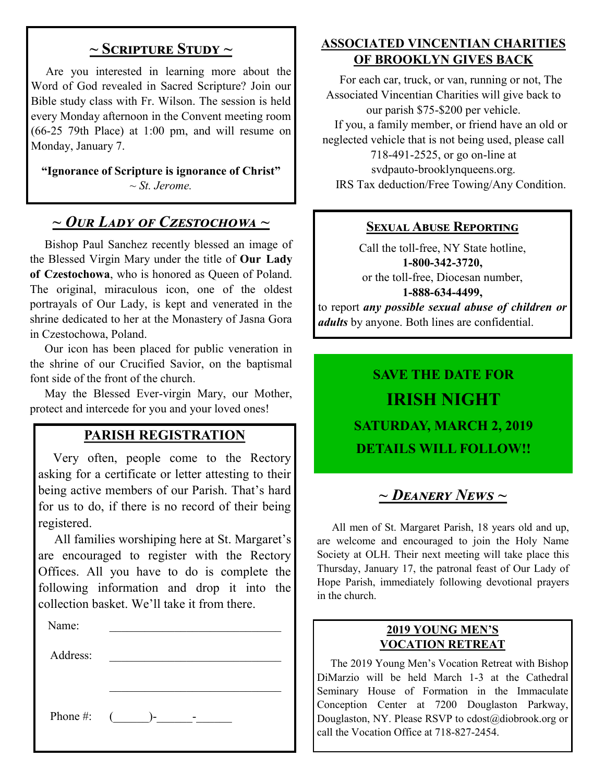#### **~ Scripture Study ~**

 Are you interested in learning more about the Word of God revealed in Sacred Scripture? Join our Bible study class with Fr. Wilson. The session is held every Monday afternoon in the Convent meeting room (66-25 79th Place) at 1:00 pm, and will resume on Monday, January 7.

**"Ignorance of Scripture is ignorance of Christ"** *~ St. Jerome.*

## *~ Our Lady of Czestochowa ~*

 Bishop Paul Sanchez recently blessed an image of the Blessed Virgin Mary under the title of **Our Lady of Czestochowa**, who is honored as Queen of Poland. The original, miraculous icon, one of the oldest portrayals of Our Lady, is kept and venerated in the shrine dedicated to her at the Monastery of Jasna Gora in Czestochowa, Poland.

 Our icon has been placed for public veneration in the shrine of our Crucified Savior, on the baptismal font side of the front of the church.

 May the Blessed Ever-virgin Mary, our Mother, protect and intercede for you and your loved ones!

#### **PARISH REGISTRATION**

 Very often, people come to the Rectory asking for a certificate or letter attesting to their being active members of our Parish. That's hard for us to do, if there is no record of their being registered.

 All families worshiping here at St. Margaret's are encouraged to register with the Rectory Offices. All you have to do is complete the following information and drop it into the collection basket. We'll take it from there.

| Name:    |                 |
|----------|-----------------|
| Address: |                 |
|          |                 |
|          | Phone #: $($ )- |

### **ASSOCIATED VINCENTIAN CHARITIES OF BROOKLYN GIVES BACK**

 For each car, truck, or van, running or not, The Associated Vincentian Charities will give back to our parish \$75-\$200 per vehicle. If you, a family member, or friend have an old or neglected vehicle that is not being used, please call 718-491-2525, or go on-line at svdpauto-brooklynqueens.org. IRS Tax deduction/Free Towing/Any Condition.

#### **Sexual Abuse Reporting**

Call the toll-free, NY State hotline, **1-800-342-3720,** or the toll-free, Diocesan number, **1-888-634-4499,** to report *any possible sexual abuse of children or adults* by anyone. Both lines are confidential.

# **SAVE THE DATE FOR IRISH NIGHT SATURDAY, MARCH 2, 2019 DETAILS WILL FOLLOW!!**

# *~ Deanery News ~*

 All men of St. Margaret Parish, 18 years old and up, are welcome and encouraged to join the Holy Name Society at OLH. Their next meeting will take place this Thursday, January 17, the patronal feast of Our Lady of Hope Parish, immediately following devotional prayers in the church.

#### **2019 YOUNG MEN'S VOCATION RETREAT**

 The 2019 Young Men's Vocation Retreat with Bishop DiMarzio will be held March 1-3 at the Cathedral Seminary House of Formation in the Immaculate Conception Center at 7200 Douglaston Parkway, Douglaston, NY. Please RSVP to cdost@diobrook.org or call the Vocation Office at 718-827-2454.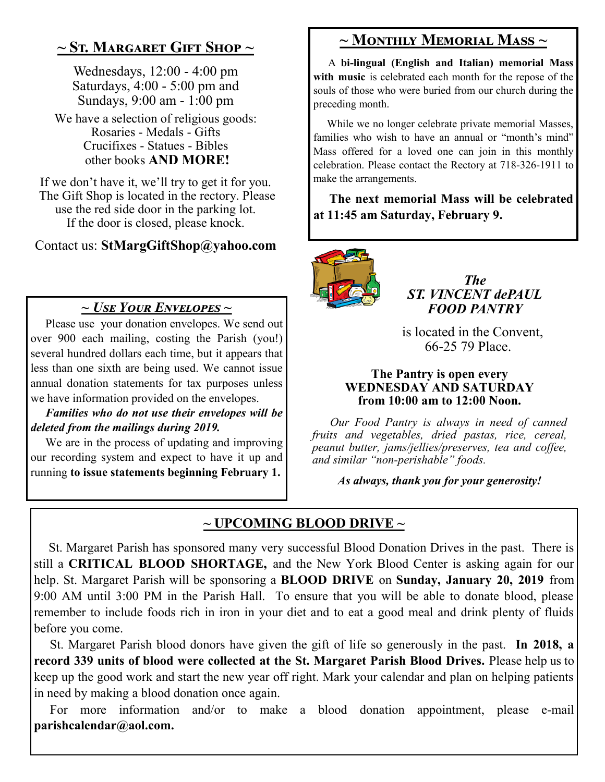## **~ St. Margaret Gift Shop ~**

Wednesdays, 12:00 - 4:00 pm Saturdays, 4:00 - 5:00 pm and Sundays, 9:00 am - 1:00 pm

We have a selection of religious goods: Rosaries - Medals - Gifts Crucifixes - Statues - Bibles other books **AND MORE!**

If we don't have it, we'll try to get it for you. The Gift Shop is located in the rectory. Please use the red side door in the parking lot. If the door is closed, please knock.

Contact us: **StMargGiftShop@yahoo.com**

#### *~ Use Your Envelopes ~*

 Please use your donation envelopes. We send out over 900 each mailing, costing the Parish (you!) several hundred dollars each time, but it appears that less than one sixth are being used. We cannot issue annual donation statements for tax purposes unless we have information provided on the envelopes.

 *Families who do not use their envelopes will be deleted from the mailings during 2019.*

 We are in the process of updating and improving our recording system and expect to have it up and running **to issue statements beginning February 1.**

## **~ Monthly Memorial Mass ~**

 A **bi-lingual (English and Italian) memorial Mass with music** is celebrated each month for the repose of the souls of those who were buried from our church during the preceding month.

 While we no longer celebrate private memorial Masses, families who wish to have an annual or "month's mind" Mass offered for a loved one can join in this monthly celebration. Please contact the Rectory at 718-326-1911 to make the arrangements.

 **The next memorial Mass will be celebrated at 11:45 am Saturday, February 9.** 



*The ST. VINCENT dePAUL FOOD PANTRY*

 is located in the Convent, 66-25 79 Place.

#### **The Pantry is open every WEDNESDAY AND SATURDAY from 10:00 am to 12:00 Noon.**

 *Our Food Pantry is always in need of canned fruits and vegetables, dried pastas, rice, cereal, peanut butter, jams/jellies/preserves, tea and coffee, and similar "non-perishable" foods.*

*As always, thank you for your generosity!*

### **~ UPCOMING BLOOD DRIVE ~**

 St. Margaret Parish has sponsored many very successful Blood Donation Drives in the past. There is still a **CRITICAL BLOOD SHORTAGE,** and the New York Blood Center is asking again for our help. St. Margaret Parish will be sponsoring a **BLOOD DRIVE** on **Sunday, January 20, 2019** from 9:00 AM until 3:00 PM in the Parish Hall. To ensure that you will be able to donate blood, please remember to include foods rich in iron in your diet and to eat a good meal and drink plenty of fluids before you come.

 St. Margaret Parish blood donors have given the gift of life so generously in the past. **In 2018, a record 339 units of blood were collected at the St. Margaret Parish Blood Drives.** Please help us to keep up the good work and start the new year off right. Mark your calendar and plan on helping patients in need by making a blood donation once again.

 For more information and/or to make a blood donation appointment, please e-mail **parishcalendar@aol.com.**